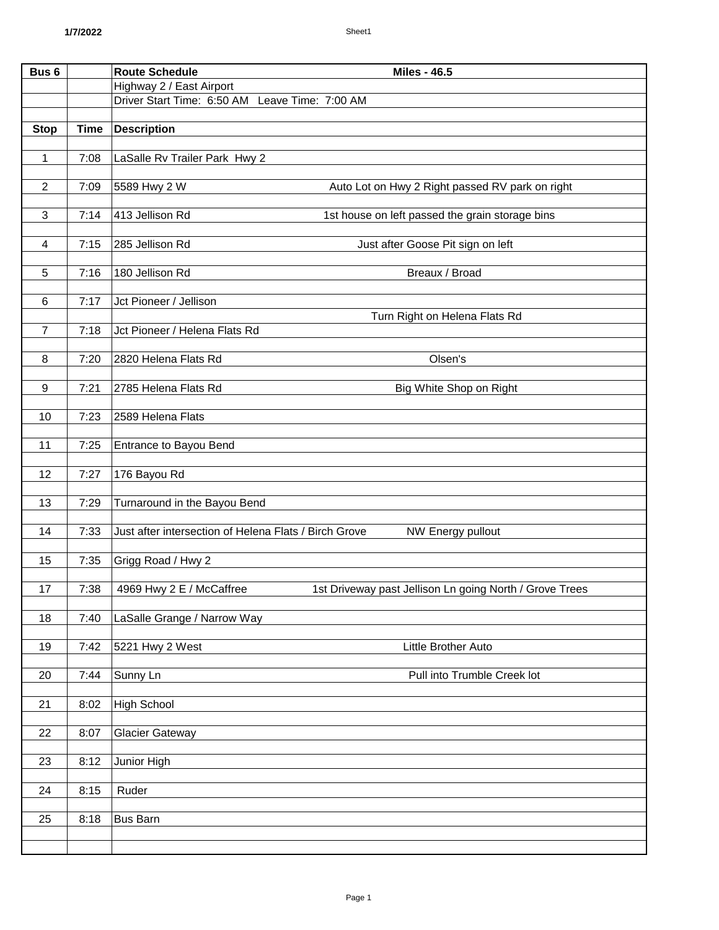| Bus <sub>6</sub> |             | <b>Miles - 46.5</b><br><b>Route Schedule</b>                                                     |
|------------------|-------------|--------------------------------------------------------------------------------------------------|
|                  |             | Highway 2 / East Airport                                                                         |
|                  |             | Driver Start Time: 6:50 AM Leave Time: 7:00 AM                                                   |
|                  |             |                                                                                                  |
| <b>Stop</b>      | <b>Time</b> | <b>Description</b>                                                                               |
|                  |             |                                                                                                  |
| $\mathbf 1$      | 7:08        | LaSalle Rv Trailer Park Hwy 2                                                                    |
| $\overline{2}$   | 7:09        | 5589 Hwy 2 W<br>Auto Lot on Hwy 2 Right passed RV park on right                                  |
|                  |             |                                                                                                  |
| 3                | 7:14        | 413 Jellison Rd<br>1st house on left passed the grain storage bins                               |
|                  |             |                                                                                                  |
| 4                | 7:15        | 285 Jellison Rd<br>Just after Goose Pit sign on left                                             |
|                  |             |                                                                                                  |
| 5                | 7:16        | 180 Jellison Rd<br>Breaux / Broad                                                                |
|                  |             |                                                                                                  |
| 6                | 7:17        | Jct Pioneer / Jellison                                                                           |
|                  |             | Turn Right on Helena Flats Rd                                                                    |
| 7                | 7:18        | Jct Pioneer / Helena Flats Rd                                                                    |
| 8                | 7:20        | 2820 Helena Flats Rd<br>Olsen's                                                                  |
|                  |             |                                                                                                  |
| 9                | 7:21        | 2785 Helena Flats Rd<br>Big White Shop on Right                                                  |
|                  |             |                                                                                                  |
| 10               | 7:23        | 2589 Helena Flats                                                                                |
|                  |             |                                                                                                  |
| 11               | 7:25        | Entrance to Bayou Bend                                                                           |
|                  |             |                                                                                                  |
| 12               | 7:27        | 176 Bayou Rd                                                                                     |
| 13               | 7:29        | Turnaround in the Bayou Bend                                                                     |
|                  |             |                                                                                                  |
| 14               | 7:33        | Just after intersection of Helena Flats / Birch Grove<br><b>NW Energy pullout</b>                |
|                  |             |                                                                                                  |
| 15               | 7:35        | Grigg Road / Hwy 2                                                                               |
|                  |             |                                                                                                  |
| 17               |             | 1st Driveway past Jellison Ln going North / Grove Trees<br>7:38 $\vert$ 4969 Hwy 2 E / McCaffree |
|                  |             |                                                                                                  |
| 18               | 7:40        | LaSalle Grange / Narrow Way                                                                      |
|                  |             |                                                                                                  |
| 19               | 7:42        | 5221 Hwy 2 West<br>Little Brother Auto                                                           |
| 20               | 7:44        | Pull into Trumble Creek lot<br>Sunny Ln                                                          |
|                  |             |                                                                                                  |
| 21               | 8:02        | <b>High School</b>                                                                               |
|                  |             |                                                                                                  |
| 22               | 8:07        | <b>Glacier Gateway</b>                                                                           |
|                  |             |                                                                                                  |
| 23               | 8:12        | Junior High                                                                                      |
|                  |             |                                                                                                  |
| 24               | 8:15        | Ruder                                                                                            |
|                  |             |                                                                                                  |
| 25               | 8:18        | <b>Bus Barn</b>                                                                                  |
|                  |             |                                                                                                  |
|                  |             |                                                                                                  |